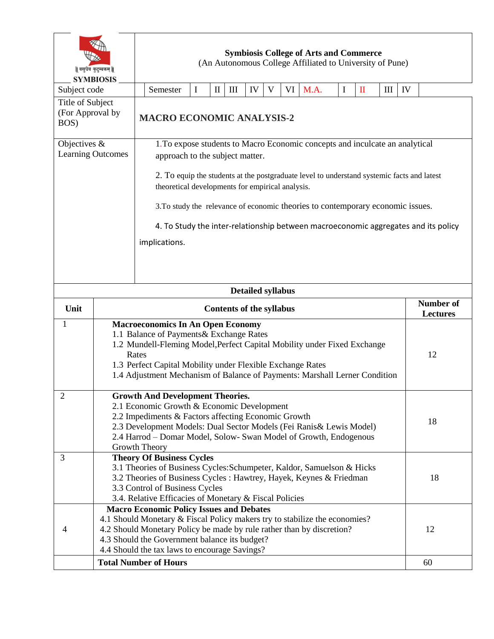| वसुधैव कुटुम्बकम्   <br><b>SYMBIOSIS</b>        |                                                                                                                                                     | <b>Symbiosis College of Arts and Commerce</b><br>(An Autonomous College Affiliated to University of Pune)                                      |                                                                                                |   |  |                                    |                          |    |    |                                                                              |             |                 |   |    |    |
|-------------------------------------------------|-----------------------------------------------------------------------------------------------------------------------------------------------------|------------------------------------------------------------------------------------------------------------------------------------------------|------------------------------------------------------------------------------------------------|---|--|------------------------------------|--------------------------|----|----|------------------------------------------------------------------------------|-------------|-----------------|---|----|----|
| Subject code                                    |                                                                                                                                                     |                                                                                                                                                | Semester                                                                                       | I |  | $\mathop{\rm III}$<br>$\mathbf{I}$ | IV                       | V  | VI | M.A.                                                                         | $\mathbf I$ | $\mathbf{I}$    | Ш | IV |    |
| Title of Subject                                |                                                                                                                                                     |                                                                                                                                                |                                                                                                |   |  |                                    |                          |    |    |                                                                              |             |                 |   |    |    |
| (For Approval by<br>BOS)                        |                                                                                                                                                     |                                                                                                                                                | <b>MACRO ECONOMIC ANALYSIS-2</b>                                                               |   |  |                                    |                          |    |    |                                                                              |             |                 |   |    |    |
| Objectives $&$                                  |                                                                                                                                                     |                                                                                                                                                |                                                                                                |   |  |                                    |                          |    |    | 1. To expose students to Macro Economic concepts and inculcate an analytical |             |                 |   |    |    |
| <b>Learning Outcomes</b>                        |                                                                                                                                                     | approach to the subject matter.                                                                                                                |                                                                                                |   |  |                                    |                          |    |    |                                                                              |             |                 |   |    |    |
|                                                 |                                                                                                                                                     | 2. To equip the students at the postgraduate level to understand systemic facts and latest<br>theoretical developments for empirical analysis. |                                                                                                |   |  |                                    |                          |    |    |                                                                              |             |                 |   |    |    |
|                                                 |                                                                                                                                                     | 3. To study the relevance of economic theories to contemporary economic issues.                                                                |                                                                                                |   |  |                                    |                          |    |    |                                                                              |             |                 |   |    |    |
|                                                 |                                                                                                                                                     |                                                                                                                                                | 4. To Study the inter-relationship between macroeconomic aggregates and its policy             |   |  |                                    |                          |    |    |                                                                              |             |                 |   |    |    |
|                                                 |                                                                                                                                                     |                                                                                                                                                | implications.                                                                                  |   |  |                                    |                          |    |    |                                                                              |             |                 |   |    |    |
|                                                 |                                                                                                                                                     |                                                                                                                                                |                                                                                                |   |  |                                    |                          |    |    |                                                                              |             |                 |   |    |    |
|                                                 |                                                                                                                                                     |                                                                                                                                                |                                                                                                |   |  |                                    |                          |    |    |                                                                              |             |                 |   |    |    |
|                                                 |                                                                                                                                                     |                                                                                                                                                |                                                                                                |   |  |                                    |                          |    |    |                                                                              |             |                 |   |    |    |
|                                                 |                                                                                                                                                     |                                                                                                                                                |                                                                                                |   |  |                                    | <b>Detailed syllabus</b> |    |    |                                                                              |             |                 |   |    |    |
|                                                 |                                                                                                                                                     |                                                                                                                                                |                                                                                                |   |  |                                    |                          |    |    | <b>Number of</b>                                                             |             |                 |   |    |    |
| Unit                                            | <b>Contents of the syllabus</b>                                                                                                                     |                                                                                                                                                |                                                                                                |   |  |                                    |                          |    |    |                                                                              |             | <b>Lectures</b> |   |    |    |
| $\mathbf{1}$                                    | <b>Macroeconomics In An Open Economy</b>                                                                                                            |                                                                                                                                                |                                                                                                |   |  |                                    |                          |    |    |                                                                              |             |                 |   |    |    |
|                                                 | 1.1 Balance of Payments & Exchange Rates                                                                                                            |                                                                                                                                                |                                                                                                |   |  |                                    |                          |    |    |                                                                              |             |                 |   |    |    |
|                                                 | 1.2 Mundell-Fleming Model, Perfect Capital Mobility under Fixed Exchange<br>Rates<br>1.3 Perfect Capital Mobility under Flexible Exchange Rates     |                                                                                                                                                |                                                                                                |   |  |                                    |                          | 12 |    |                                                                              |             |                 |   |    |    |
|                                                 |                                                                                                                                                     |                                                                                                                                                |                                                                                                |   |  |                                    |                          |    |    |                                                                              |             |                 |   |    |    |
|                                                 |                                                                                                                                                     | 1.4 Adjustment Mechanism of Balance of Payments: Marshall Lerner Condition                                                                     |                                                                                                |   |  |                                    |                          |    |    |                                                                              |             |                 |   |    |    |
|                                                 |                                                                                                                                                     |                                                                                                                                                |                                                                                                |   |  |                                    |                          |    |    |                                                                              |             |                 |   |    |    |
| 2                                               |                                                                                                                                                     |                                                                                                                                                | <b>Growth And Development Theories.</b>                                                        |   |  |                                    |                          |    |    |                                                                              |             |                 |   |    |    |
|                                                 | 2.1 Economic Growth & Economic Development<br>2.2 Impediments & Factors affecting Economic Growth                                                   |                                                                                                                                                |                                                                                                |   |  |                                    |                          |    |    |                                                                              |             |                 |   |    |    |
|                                                 |                                                                                                                                                     | 2.3 Development Models: Dual Sector Models (Fei Ranis & Lewis Model)                                                                           |                                                                                                |   |  |                                    |                          |    |    |                                                                              |             |                 |   | 18 |    |
|                                                 | 2.4 Harrod - Domar Model, Solow- Swan Model of Growth, Endogenous                                                                                   |                                                                                                                                                |                                                                                                |   |  |                                    |                          |    |    |                                                                              |             |                 |   |    |    |
|                                                 | Growth Theory                                                                                                                                       |                                                                                                                                                |                                                                                                |   |  |                                    |                          |    |    |                                                                              |             |                 |   |    |    |
| 3                                               | <b>Theory Of Business Cycles</b><br>3.1 Theories of Business Cycles: Schumpeter, Kaldor, Samuelson & Hicks                                          |                                                                                                                                                |                                                                                                |   |  |                                    |                          |    |    |                                                                              |             |                 |   |    |    |
|                                                 | 3.2 Theories of Business Cycles : Hawtrey, Hayek, Keynes & Friedman<br>18                                                                           |                                                                                                                                                |                                                                                                |   |  |                                    |                          |    |    |                                                                              |             |                 |   |    |    |
|                                                 | 3.3 Control of Business Cycles                                                                                                                      |                                                                                                                                                |                                                                                                |   |  |                                    |                          |    |    |                                                                              |             |                 |   |    |    |
|                                                 | 3.4. Relative Efficacies of Monetary & Fiscal Policies                                                                                              |                                                                                                                                                |                                                                                                |   |  |                                    |                          |    |    |                                                                              |             |                 |   |    |    |
| <b>Macro Economic Policy Issues and Debates</b> |                                                                                                                                                     |                                                                                                                                                |                                                                                                |   |  |                                    |                          |    |    |                                                                              |             |                 |   |    |    |
|                                                 | 4.1 Should Monetary & Fiscal Policy makers try to stabilize the economies?<br>4.2 Should Monetary Policy be made by rule rather than by discretion? |                                                                                                                                                |                                                                                                |   |  |                                    |                          |    |    |                                                                              |             |                 |   |    |    |
|                                                 |                                                                                                                                                     |                                                                                                                                                |                                                                                                |   |  |                                    |                          |    |    |                                                                              |             |                 |   |    |    |
| 4                                               |                                                                                                                                                     |                                                                                                                                                |                                                                                                |   |  |                                    |                          |    |    |                                                                              |             |                 |   |    | 12 |
|                                                 |                                                                                                                                                     |                                                                                                                                                | 4.3 Should the Government balance its budget?<br>4.4 Should the tax laws to encourage Savings? |   |  |                                    |                          |    |    |                                                                              |             |                 |   |    |    |